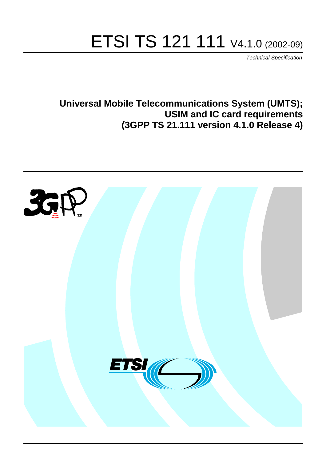# ETSI TS 121 111 V4.1.0 (2002-09)

Technical Specification

**Universal Mobile Telecommunications System (UMTS); USIM and IC card requirements (3GPP TS 21.111 version 4.1.0 Release 4)**

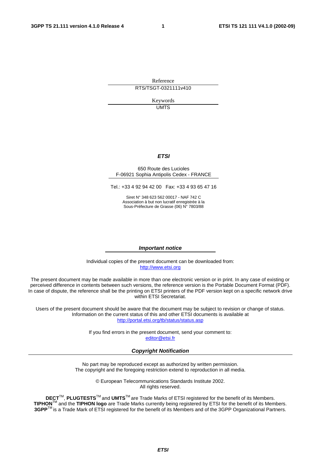Reference RTS/TSGT-0321111v410

Keywords

UMTS

#### **ETSI**

#### 650 Route des Lucioles F-06921 Sophia Antipolis Cedex - FRANCE

Tel.: +33 4 92 94 42 00 Fax: +33 4 93 65 47 16

Siret N° 348 623 562 00017 - NAF 742 C Association à but non lucratif enregistrée à la Sous-Préfecture de Grasse (06) N° 7803/88

#### **Important notice**

Individual copies of the present document can be downloaded from: [http://www.etsi.org](http://www.etsi.org/)

The present document may be made available in more than one electronic version or in print. In any case of existing or perceived difference in contents between such versions, the reference version is the Portable Document Format (PDF). In case of dispute, the reference shall be the printing on ETSI printers of the PDF version kept on a specific network drive within ETSI Secretariat.

Users of the present document should be aware that the document may be subject to revision or change of status. Information on the current status of this and other ETSI documents is available at <http://portal.etsi.org/tb/status/status.asp>

> If you find errors in the present document, send your comment to: [editor@etsi.fr](mailto:editor@etsi.fr)

#### **Copyright Notification**

No part may be reproduced except as authorized by written permission. The copyright and the foregoing restriction extend to reproduction in all media.

> © European Telecommunications Standards Institute 2002. All rights reserved.

**DECT**TM, **PLUGTESTS**TM and **UMTS**TM are Trade Marks of ETSI registered for the benefit of its Members. **TIPHON**TM and the **TIPHON logo** are Trade Marks currently being registered by ETSI for the benefit of its Members. **3GPP**TM is a Trade Mark of ETSI registered for the benefit of its Members and of the 3GPP Organizational Partners.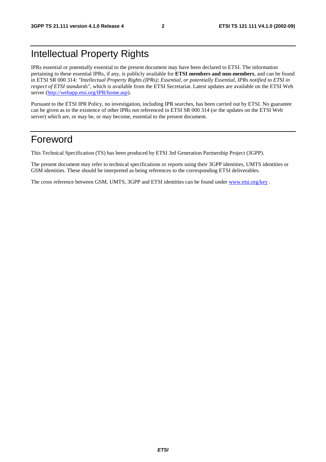## Intellectual Property Rights

IPRs essential or potentially essential to the present document may have been declared to ETSI. The information pertaining to these essential IPRs, if any, is publicly available for **ETSI members and non-members**, and can be found in ETSI SR 000 314: *"Intellectual Property Rights (IPRs); Essential, or potentially Essential, IPRs notified to ETSI in respect of ETSI standards"*, which is available from the ETSI Secretariat. Latest updates are available on the ETSI Web server ([http://webapp.etsi.org/IPR/home.asp\)](http://webapp.etsi.org/IPR/home.asp).

Pursuant to the ETSI IPR Policy, no investigation, including IPR searches, has been carried out by ETSI. No guarantee can be given as to the existence of other IPRs not referenced in ETSI SR 000 314 (or the updates on the ETSI Web server) which are, or may be, or may become, essential to the present document.

### Foreword

This Technical Specification (TS) has been produced by ETSI 3rd Generation Partnership Project (3GPP).

The present document may refer to technical specifications or reports using their 3GPP identities, UMTS identities or GSM identities. These should be interpreted as being references to the corresponding ETSI deliverables.

The cross reference between GSM, UMTS, 3GPP and ETSI identities can be found under [www.etsi.org/key](http://www.etsi.org/key) .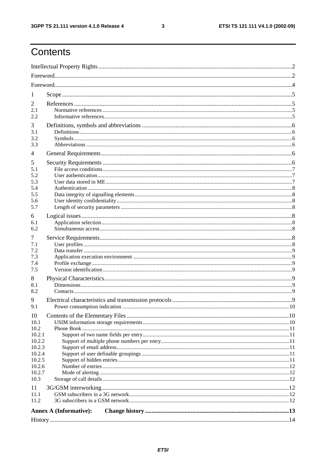$\mathbf{3}$ 

# Contents

| 1                |                               |            |  |  |  |  |
|------------------|-------------------------------|------------|--|--|--|--|
| 2                |                               |            |  |  |  |  |
| 2.1              |                               |            |  |  |  |  |
| 2.2              |                               |            |  |  |  |  |
| 3                |                               |            |  |  |  |  |
| 3.1<br>3.2       |                               |            |  |  |  |  |
| 3.3              |                               |            |  |  |  |  |
| 4                |                               |            |  |  |  |  |
| 5                |                               |            |  |  |  |  |
| 5.1              |                               |            |  |  |  |  |
| 5.2<br>5.3       |                               |            |  |  |  |  |
| 5.4              |                               |            |  |  |  |  |
| 5.5              |                               |            |  |  |  |  |
| 5.6              |                               |            |  |  |  |  |
| 5.7              |                               |            |  |  |  |  |
| 6<br>6.1         |                               |            |  |  |  |  |
| 6.2              |                               |            |  |  |  |  |
| 7                |                               |            |  |  |  |  |
| 7.1              |                               |            |  |  |  |  |
| 7.2              |                               |            |  |  |  |  |
| 7.3<br>7.4       |                               |            |  |  |  |  |
| 7.5              |                               |            |  |  |  |  |
| 8                |                               |            |  |  |  |  |
| 8.1              |                               |            |  |  |  |  |
| 8.2              |                               |            |  |  |  |  |
| 9                |                               | $\dots 10$ |  |  |  |  |
| 9.1              |                               |            |  |  |  |  |
| 10<br>10.1       |                               |            |  |  |  |  |
| 10.2             |                               |            |  |  |  |  |
| 10.2.1           |                               |            |  |  |  |  |
| 10.2.2<br>10.2.3 |                               |            |  |  |  |  |
| 10.2.4           |                               |            |  |  |  |  |
| 10.2.5           |                               |            |  |  |  |  |
| 10.2.6<br>10.2.7 |                               |            |  |  |  |  |
| 10.3             |                               |            |  |  |  |  |
| 11               |                               |            |  |  |  |  |
| 11.1             |                               |            |  |  |  |  |
| 11.2             |                               |            |  |  |  |  |
|                  | <b>Annex A (Informative):</b> |            |  |  |  |  |
|                  |                               |            |  |  |  |  |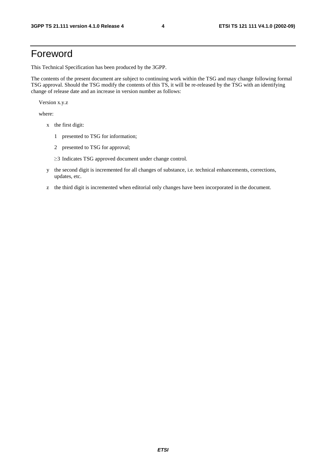### Foreword

This Technical Specification has been produced by the 3GPP.

The contents of the present document are subject to continuing work within the TSG and may change following formal TSG approval. Should the TSG modify the contents of this TS, it will be re-released by the TSG with an identifying change of release date and an increase in version number as follows:

Version x.y.z

where:

- x the first digit:
	- 1 presented to TSG for information;
	- 2 presented to TSG for approval;
	- $\geq$ 3 Indicates TSG approved document under change control.
- y the second digit is incremented for all changes of substance, i.e. technical enhancements, corrections, updates, etc.
- z the third digit is incremented when editorial only changes have been incorporated in the document.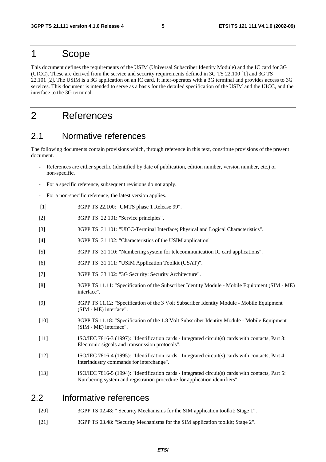### 1 Scope

This document defines the requirements of the USIM (Universal Subscriber Identity Module) and the IC card for 3G (UICC). These are derived from the service and security requirements defined in 3G TS 22.100 [1] and 3G TS 22.101 [2]. The USIM is a 3G application on an IC card. It inter-operates with a 3G terminal and provides access to 3G services. This document is intended to serve as a basis for the detailed specification of the USIM and the UICC, and the interface to the 3G terminal.

### 2 References

#### 2.1 Normative references

The following documents contain provisions which, through reference in this text, constitute provisions of the present document.

- References are either specific (identified by date of publication, edition number, version number, etc.) or non-specific.
- For a specific reference, subsequent revisions do not apply.
- For a non-specific reference, the latest version applies.
- [1] 3GPP TS 22.100: "UMTS phase 1 Release 99".
- [2] 3GPP TS 22.101: "Service principles".
- [3] 3GPP TS 31.101: "UICC-Terminal Interface; Physical and Logical Characteristics".
- [4] 3GPP TS 31.102: "Characteristics of the USIM application"
- [5] 3GPP TS 31.110: "Numbering system for telecommunication IC card applications".
- [6] 3GPP TS 31.111: "USIM Application Toolkit (USAT)".
- [7] 3GPP TS 33.102: "3G Security: Security Architecture".
- [8] 3GPP TS 11.11: "Specification of the Subscriber Identity Module Mobile Equipment (SIM ME) interface".
- [9] 3GPP TS 11.12: "Specification of the 3 Volt Subscriber Identity Module Mobile Equipment (SIM - ME) interface".
- [10] 3GPP TS 11.18: "Specification of the 1.8 Volt Subscriber Identity Module Mobile Equipment (SIM - ME) interface".
- [11] ISO/IEC 7816-3 (1997): "Identification cards Integrated circuit(s) cards with contacts, Part 3: Electronic signals and transmission protocols".
- [12] ISO/IEC 7816-4 (1995): "Identification cards Integrated circuit(s) cards with contacts, Part 4: Interindustry commands for interchange".
- [13] ISO/IEC 7816-5 (1994): "Identification cards Integrated circuit(s) cards with contacts, Part 5: Numbering system and registration procedure for application identifiers".

#### 2.2 Informative references

- [20] 3GPP TS 02.48: " Security Mechanisms for the SIM application toolkit; Stage 1".
- [21] 3GPP TS 03.48: "Security Mechanisms for the SIM application toolkit; Stage 2".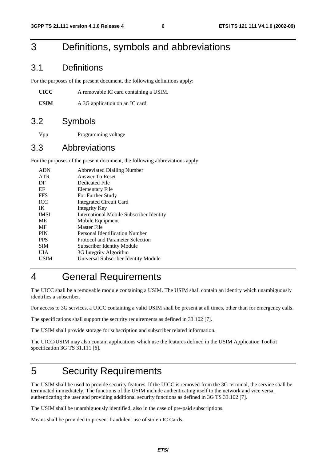### 3 Definitions, symbols and abbreviations

#### 3.1 Definitions

For the purposes of the present document, the following definitions apply:

| UICC | A removable IC card containing a USIM. |
|------|----------------------------------------|
|------|----------------------------------------|

USIM A 3G application on an IC card.

#### 3.2 Symbols

Vpp Programming voltage

#### 3.3 Abbreviations

For the purposes of the present document, the following abbreviations apply:

| <b>ADN</b>  | <b>Abbreviated Dialling Number</b>              |
|-------------|-------------------------------------------------|
| <b>ATR</b>  | Answer To Reset                                 |
| DF          | Dedicated File                                  |
| EF          | Elementary File                                 |
| <b>FFS</b>  | For Further Study                               |
| <b>ICC</b>  | <b>Integrated Circuit Card</b>                  |
| IK          | Integrity Key                                   |
| <b>IMSI</b> | <b>International Mobile Subscriber Identity</b> |
| ME          | Mobile Equipment                                |
| MF          | Master File                                     |
| <b>PIN</b>  | Personal Identification Number                  |
| <b>PPS</b>  | Protocol and Parameter Selection                |
| <b>SIM</b>  | <b>Subscriber Identity Module</b>               |
| UІА         | 3G Integrity Algorithm                          |
| USIM        | Universal Subscriber Identity Module            |
|             |                                                 |

# 4 General Requirements

The UICC shall be a removable module containing a USIM. The USIM shall contain an identity which unambiguously identifies a subscriber.

For access to 3G services, a UICC containing a valid USIM shall be present at all times, other than for emergency calls.

The specifications shall support the security requirements as defined in 33.102 [7].

The USIM shall provide storage for subscription and subscriber related information.

The UICC/USIM may also contain applications which use the features defined in the USIM Application Toolkit specification 3G TS 31.111 [6].

# 5 Security Requirements

The USIM shall be used to provide security features. If the UICC is removed from the 3G terminal, the service shall be terminated immediately. The functions of the USIM include authenticating itself to the network and vice versa, authenticating the user and providing additional security functions as defined in 3G TS 33.102 [7].

The USIM shall be unambiguously identified, also in the case of pre-paid subscriptions.

Means shall be provided to prevent fraudulent use of stolen IC Cards.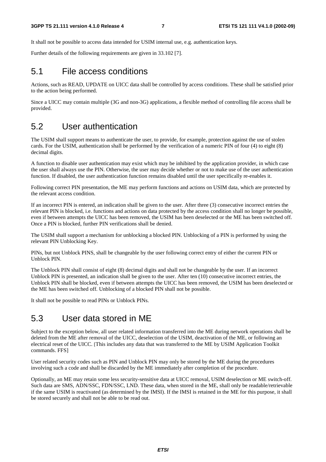It shall not be possible to access data intended for USIM internal use, e.g. authentication keys.

Further details of the following requirements are given in 33.102 [7].

#### 5.1 File access conditions

Actions, such as READ, UPDATE on UICC data shall be controlled by access conditions. These shall be satisfied prior to the action being performed.

Since a UICC may contain multiple (3G and non-3G) applications, a flexible method of controlling file access shall be provided.

#### 5.2 User authentication

The USIM shall support means to authenticate the user, to provide, for example, protection against the use of stolen cards. For the USIM, authentication shall be performed by the verification of a numeric PIN of four (4) to eight (8) decimal digits.

A function to disable user authentication may exist which may be inhibited by the application provider, in which case the user shall always use the PIN. Otherwise, the user may decide whether or not to make use of the user authentication function. If disabled, the user authentication function remains disabled until the user specifically re-enables it.

Following correct PIN presentation, the ME may perform functions and actions on USIM data, which are protected by the relevant access condition.

If an incorrect PIN is entered, an indication shall be given to the user. After three (3) consecutive incorrect entries the relevant PIN is blocked, i.e. functions and actions on data protected by the access condition shall no longer be possible, even if between attempts the UICC has been removed, the USIM has been deselected or the ME has been switched off. Once a PIN is blocked, further PIN verifications shall be denied.

The USIM shall support a mechanism for unblocking a blocked PIN. Unblocking of a PIN is performed by using the relevant PIN Unblocking Key.

PINs, but not Unblock PINS, shall be changeable by the user following correct entry of either the current PIN or Unblock PIN.

The Unblock PIN shall consist of eight (8) decimal digits and shall not be changeable by the user. If an incorrect Unblock PIN is presented, an indication shall be given to the user. After ten (10) consecutive incorrect entries, the Unblock PIN shall be blocked, even if between attempts the UICC has been removed, the USIM has been deselected or the ME has been switched off. Unblocking of a blocked PIN shall not be possible.

It shall not be possible to read PINs or Unblock PINs.

#### 5.3 User data stored in ME

Subject to the exception below, all user related information transferred into the ME during network operations shall be deleted from the ME after removal of the UICC, deselection of the USIM, deactivation of the ME, or following an electrical reset of the UICC. [This includes any data that was transferred to the ME by USIM Application Toolkit commands. FFS]

User related security codes such as PIN and Unblock PIN may only be stored by the ME during the procedures involving such a code and shall be discarded by the ME immediately after completion of the procedure.

Optionally, an ME may retain some less security-sensitive data at UICC removal, USIM deselection or ME switch-off. Such data are SMS, ADN/SSC, FDN/SSC, LND. These data, when stored in the ME, shall only be readable/retrievable if the same USIM is reactivated (as determined by the IMSI). If the IMSI is retained in the ME for this purpose, it shall be stored securely and shall not be able to be read out.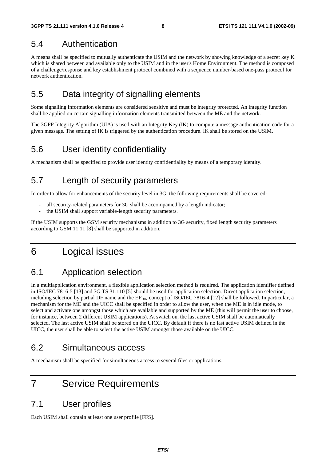### 5.4 Authentication

A means shall be specified to mutually authenticate the USIM and the network by showing knowledge of a secret key K which is shared between and available only to the USIM and in the user's Home Environment. The method is composed of a challenge/response and key establishment protocol combined with a sequence number-based one-pass protocol for network authentication.

### 5.5 Data integrity of signalling elements

Some signalling information elements are considered sensitive and must be integrity protected. An integrity function shall be applied on certain signalling information elements transmitted between the ME and the network.

The 3GPP Integrity Algorithm (UIA) is used with an Integrity Key (IK) to compute a message authentication code for a given message. The setting of IK is triggered by the authentication procedure. IK shall be stored on the USIM.

### 5.6 User identity confidentiality

A mechanism shall be specified to provide user identity confidentiality by means of a temporary identity.

### 5.7 Length of security parameters

In order to allow for enhancements of the security level in 3G, the following requirements shall be covered:

- all security-related parameters for 3G shall be accompanied by a length indicator;
- the USIM shall support variable-length security parameters.

If the USIM supports the GSM security mechanisms in addition to 3G security, fixed length security parameters according to GSM 11.11 [8] shall be supported in addition.

### 6 Logical issues

### 6.1 Application selection

In a multiapplication environment, a flexible application selection method is required. The application identifier defined in ISO/IEC 7816-5 [13] and 3G TS 31.110 [5] should be used for application selection. Direct application selection, including selection by partial DF name and the  $EF_{\text{DIR}}$  concept of ISO/IEC 7816-4 [12] shall be followed. In particular, a mechanism for the ME and the UICC shall be specified in order to allow the user, when the ME is in idle mode, to select and activate one amongst those which are available and supported by the ME (this will permit the user to choose, for instance, between 2 different USIM applications). At switch on, the last active USIM shall be automatically selected. The last active USIM shall be stored on the UICC. By default if there is no last active USIM defined in the UICC, the user shall be able to select the active USIM amongst those available on the UICC.

#### 6.2 Simultaneous access

A mechanism shall be specified for simultaneous access to several files or applications.

### 7 Service Requirements

#### 7.1 User profiles

Each USIM shall contain at least one user profile [FFS].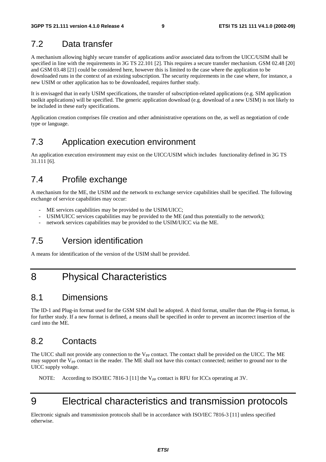### 7.2 Data transfer

A mechanism allowing highly secure transfer of applications and/or associated data to/from the UICC/USIM shall be specified in line with the requirements in 3G TS 22.101 [2]. This requires a secure transfer mechanism. GSM 02.48 [20] and GSM 03.48 [21] could be considered here, however this is limited to the case where the application to be downloaded runs in the context of an existing subscription. The security requirements in the case where, for instance, a new USIM or other application has to be downloaded, requires further study.

It is envisaged that in early USIM specifications, the transfer of subscription-related applications (e.g. SIM application toolkit applications) will be specified. The generic application download (e.g. download of a new USIM) is not likely to be included in these early specifications.

Application creation comprises file creation and other administrative operations on the, as well as negotiation of code type or language.

### 7.3 Application execution environment

An application execution environment may exist on the UICC/USIM which includes functionality defined in 3G TS 31.111 [6].

### 7.4 Profile exchange

A mechanism for the ME, the USIM and the network to exchange service capabilities shall be specified. The following exchange of service capabilities may occur:

- ME services capabilities may be provided to the USIM/UICC;
- USIM/UICC services capabilities may be provided to the ME (and thus potentially to the network);
- network services capabilities may be provided to the USIM/UICC via the ME.

### 7.5 Version identification

A means for identification of the version of the USIM shall be provided.

### 8 Physical Characteristics

#### 8.1 Dimensions

The ID-1 and Plug-in format used for the GSM SIM shall be adopted. A third format, smaller than the Plug-in format, is for further study. If a new format is defined, a means shall be specified in order to prevent an incorrect insertion of the card into the ME.

### 8.2 Contacts

The UICC shall not provide any connection to the V<sub>PP</sub> contact. The contact shall be provided on the UICC. The ME may support the  $V_{PP}$  contact in the reader. The ME shall not have this contact connected; neither to ground nor to the UICC supply voltage.

NOTE: According to ISO/IEC 7816-3 [11] the V<sub>PP</sub> contact is RFU for ICCs operating at 3V.

# 9 Electrical characteristics and transmission protocols

Electronic signals and transmission protocols shall be in accordance with ISO/IEC 7816-3 [11] unless specified otherwise.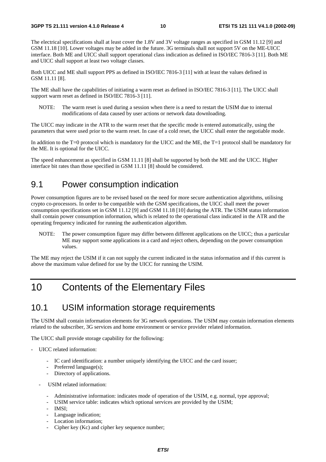The electrical specifications shall at least cover the 1.8V and 3V voltage ranges as specified in GSM 11.12 [9] and GSM 11.18 [10]. Lower voltages may be added in the future. 3G terminals shall not support 5V on the ME-UICC interface. Both ME and UICC shall support operational class indication as defined in ISO/IEC 7816-3 [11]. Both ME and UICC shall support at least two voltage classes.

Both UICC and ME shall support PPS as defined in ISO/IEC 7816-3 [11] with at least the values defined in GSM 11.11 [8].

The ME shall have the capabilities of initiating a warm reset as defined in ISO/IEC 7816-3 [11]. The UICC shall support warm reset as defined in ISO/IEC 7816-3 [11].

NOTE: The warm reset is used during a session when there is a need to restart the USIM due to internal modifications of data caused by user actions or network data downloading.

The UICC may indicate in the ATR to the warm reset that the specific mode is entered automatically, using the parameters that were used prior to the warm reset. In case of a cold reset, the UICC shall enter the negotiable mode.

In addition to the T=0 protocol which is mandatory for the UICC and the ME, the T=1 protocol shall be mandatory for the ME. It is optional for the UICC.

The speed enhancement as specified in GSM 11.11 [8] shall be supported by both the ME and the UICC. Higher interface bit rates than those specified in GSM 11.11 [8] should be considered.

#### 9.1 Power consumption indication

Power consumption figures are to be revised based on the need for more secure authentication algorithms, utilising crypto co-processors. In order to be compatible with the GSM specifications, the UICC shall meet the power consumption specifications set in GSM 11.12 [9] and GSM 11.18 [10] during the ATR. The USIM status information shall contain power consumption information, which is related to the operational class indicated in the ATR and the operating frequency indicated for running the authentication algorithm.

NOTE: The power consumption figure may differ between different applications on the UICC; thus a particular ME may support some applications in a card and reject others, depending on the power consumption values.

The ME may reject the USIM if it can not supply the current indicated in the status information and if this current is above the maximum value defined for use by the UICC for running the USIM.

### 10 Contents of the Elementary Files

#### 10.1 USIM information storage requirements

The USIM shall contain information elements for 3G network operations. The USIM may contain information elements related to the subscriber, 3G services and home environment or service provider related information.

The UICC shall provide storage capability for the following:

- UICC related information:
	- IC card identification: a number uniquely identifying the UICC and the card issuer;
	- Preferred language(s);
	- Directory of applications.
	- USIM related information:
		- Administrative information: indicates mode of operation of the USIM, e.g. normal, type approval;
		- USIM service table: indicates which optional services are provided by the USIM;
		- IMSI:
		- Language indication;
		- Location information;
		- Cipher key (Kc) and cipher key sequence number;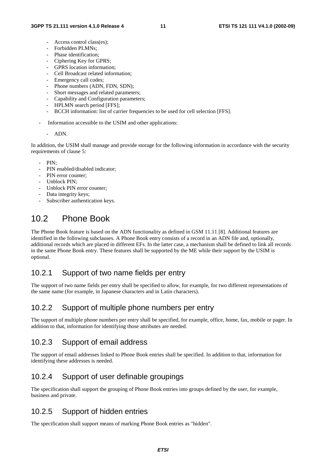- Access control class(es):
- Forbidden PLMNs:
- Phase identification;
- Ciphering Key for GPRS;
- GPRS location information;
- Cell Broadcast related information;
- Emergency call codes;
- Phone numbers (ADN, FDN, SDN);
- Short messages and related parameters;
- Capability and Configuration parameters;
- HPLMN search period [FFS];
- BCCH information: list of carrier frequencies to be used for cell selection [FFS].
- Information accessible to the USIM and other applications:

#### - ADN.

In addition, the USIM shall manage and provide storage for the following information in accordance with the security requirements of clause 5:

- $PIN$
- PIN enabled/disabled indicator;
- PIN error counter:
- Unblock PIN:
- Unblock PIN error counter:
- Data integrity keys;
- Subscriber authentication keys.

### 10.2 Phone Book

The Phone Book feature is based on the ADN functionality as defined in GSM 11.11 [8]. Additional features are identified in the following subclauses. A Phone Book entry consists of a record in an ADN file and, optionally, additional records which are placed in different EFs. In the latter case, a mechanism shall be defined to link all records in the same Phone Book entry. These features shall be supported by the ME while their support by the USIM is optional.

#### 10.2.1 Support of two name fields per entry

The support of two name fields per entry shall be specified to allow, for example, for two different representations of the same name (for example, in Japanese characters and in Latin characters).

#### 10.2.2 Support of multiple phone numbers per entry

The support of multiple phone numbers per entry shall be specified, for example, office, home, fax, mobile or pager. In addition to that, information for identifying those attributes are needed.

#### 10.2.3 Support of email address

The support of email addresses linked to Phone Book entries shall be specified. In addition to that, information for identifying these addresses is needed.

#### 10.2.4 Support of user definable groupings

The specification shall support the grouping of Phone Book entries into groups defined by the user, for example, business and private.

#### 10.2.5 Support of hidden entries

The specification shall support means of marking Phone Book entries as "hidden".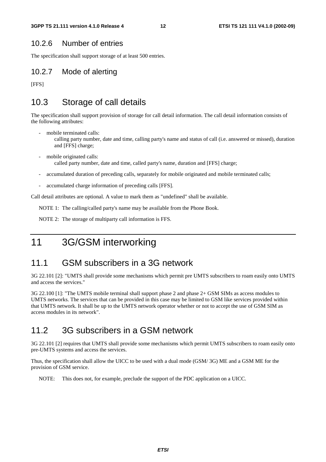#### 10.2.6 Number of entries

The specification shall support storage of at least 500 entries.

#### 10.2.7 Mode of alerting

[FFS]

#### 10.3 Storage of call details

The specification shall support provision of storage for call detail information. The call detail information consists of the following attributes:

- mobile terminated calls:
	- calling party number, date and time, calling party's name and status of call (i.e. answered or missed), duration and [FFS] charge;
- mobile originated calls: called party number, date and time, called party's name, duration and [FFS] charge;
- accumulated duration of preceding calls, separately for mobile originated and mobile terminated calls;
- accumulated charge information of preceding calls [FFS].

Call detail attributes are optional. A value to mark them as "undefined" shall be available.

NOTE 1: The calling/called party's name may be available from the Phone Book.

NOTE 2: The storage of multiparty call information is FFS.

11 3G/GSM interworking

#### 11.1 GSM subscribers in a 3G network

3G 22.101 [2]: "UMTS shall provide some mechanisms which permit pre UMTS subscribers to roam easily onto UMTS and access the services."

3G 22.100 [1]: "The UMTS mobile terminal shall support phase 2 and phase 2+ GSM SIMs as access modules to UMTS networks. The services that can be provided in this case may be limited to GSM like services provided within that UMTS network. It shall be up to the UMTS network operator whether or not to accept the use of GSM SIM as access modules in its network".

#### 11.2 3G subscribers in a GSM network

3G 22.101 [2] requires that UMTS shall provide some mechanisms which permit UMTS subscribers to roam easily onto pre-UMTS systems and access the services.

Thus, the specification shall allow the UICC to be used with a dual mode (GSM/ 3G) ME and a GSM ME for the provision of GSM service.

NOTE: This does not, for example, preclude the support of the PDC application on a UICC.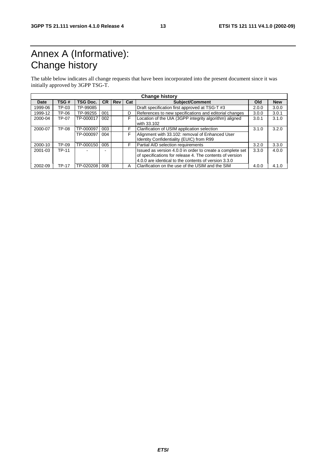# Annex A (Informative): Change history

The table below indicates all change requests that have been incorporated into the present document since it was initially approved by 3GPP TSG-T.

|         |              |                 |           |     |     | <b>Change history</b>                                                                                                                                                         |       |            |
|---------|--------------|-----------------|-----------|-----|-----|-------------------------------------------------------------------------------------------------------------------------------------------------------------------------------|-------|------------|
| Date    | TSG#         | <b>TSG Doc.</b> | <b>CR</b> | Rev | Cat | <b>Subject/Comment</b>                                                                                                                                                        | Old   | <b>New</b> |
| 1999-06 | TP-03        | TP-99085        |           |     |     | Draft specification first approved at TSG-T #3                                                                                                                                | 2.0.0 | 3.0.0      |
| 1999-12 | TP-06        | TP-99255        | 001       |     | D   | References to new specifications and editorial changes                                                                                                                        | 3.0.0 | 3.0.1      |
| 2000-04 | TP-07        | TP-000017       | 002       |     | F   | Location of the UIA (3GPP integrity algorithm) aligned<br>with 33.102                                                                                                         | 3.0.1 | 3.1.0      |
| 2000-07 | TP-08        | TP-000097       | 003       |     | F   | Clarification of USIM application selection                                                                                                                                   | 3.1.0 | 3.2.0      |
|         |              | TP-000097       | 004       |     | F   | Alignment with 33.102: removal of Enhanced User<br>Identity Confidentiality (EUIC) from R99                                                                                   |       |            |
| 2000-10 | TP-09        | TP-000150       | 005       |     | F   | Partial AID selection requirements                                                                                                                                            | 3.2.0 | 3.3.0      |
| 2001-03 | <b>TP-11</b> |                 |           |     |     | Issued as version 4.0.0 in order to create a complete set<br>of specifications for release 4. The contents of version<br>4.0.0 are identical to the contents of version 3.3.0 | 3.3.0 | 4.0.0      |
| 2002-09 | <b>TP-17</b> | TP-020208       | 008       |     | А   | Clarification on the use of the USIM and the SIM                                                                                                                              | 4.0.0 | 4.1.0      |